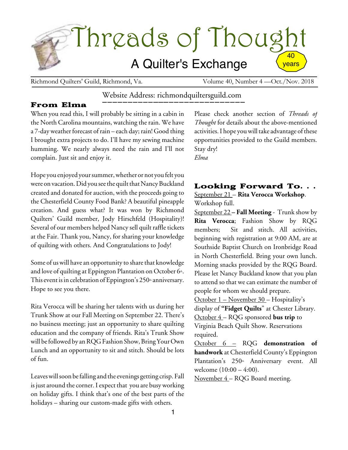

Richmond Quilters' Guild, Richmond, Va. Volume 40, Number 4 —Oct./Nov. 2018

# Website Address: richmondquiltersguild.com

## From Elma

When you read this, I will probably be sitting in a cabin in the North Carolina mountains, watching the rain. We have a 7-day weather forecast of rain – each day; rain! Good thing I brought extra projects to do. I'll have my sewing machine humming. We nearly always need the rain and I'll not complain. Just sit and enjoy it.

Hope you enjoyed yoursummer,whether or not you felt you were on vacation. Did you see the quilt that Nancy Buckland created and donated for auction, with the proceeds going to the Chesterfield County Food Bank? A beautiful pineapple creation. And guess what? It was won by Richmond Quilters' Guild member, Jody Hirschfeld (Hospitality)! Several of our members helped Nancy sell quilt raffle tickets at the Fair. Thank you, Nancy, for sharing your knowledge of quilting with others. And Congratulations to Jody!

Some of us will have an opportunity to share that knowledge and love of quilting at Eppington Plantation on October 6<sup>th</sup>. This event is in celebration of Eppington's  $250^{\text{th}}$  anniversary. Hope to see you there.

Rita Verocca will be sharing her talents with us during her Trunk Show at our Fall Meeting on September 22. There's no business meeting; just an opportunity to share quilting education and the company of friends. Rita's Trunk Show will be followed by an RQG Fashion Show, Bring Your Own Lunch and an opportunity to sit and stitch. Should be lots of fun.

Leaves will soon be falling and the evenings getting crisp. Fall is just around the corner. I expect that you are busy working on holiday gifts. I think that's one of the best parts of the holidays – sharing our custom-made gifts with others.

Please check another section of *Threads of Thought* for details about the above-mentioned activities. I hope you will take advantage of these opportunities provided to the Guild members. Stay dry! *Elma*

# Looking Forward To. . . September 21 – **Rita Verocca Workshop**. Workshop full.

September 22 **– Fall Meeting** - Trunk show by **Rita Verocca**; Fashion Show by RQG members; Sit and stitch. All activities, beginning with registration at 9:00 AM, are at Southside Baptist Church on Ironbridge Road in North Chesterfield. Bring your own lunch. Morning snacks provided by the RQG Board. Please let Nancy Buckland know that you plan to attend so that we can estimate the number of people for whom we should prepare. October 1 – November 30 – Hospitality's display of **"Fidget Quilts**" at Chester Library. October 4 – RQG sponsored **bus trip** to Virginia Beach Quilt Show. Reservations required.

October 6 – RQG **demonstration of handwork** at Chesterfield County's Eppington Plantation's 250<sup>th</sup> Anniversary event. All welcome (10:00 – 4:00).

November 4 – RQG Board meeting.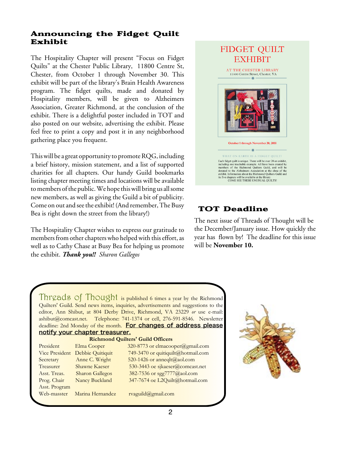# Announcing the Fidget Quilt Exhibit

The Hospitality Chapter will present "Focus on Fidget Quilts" at the Chester Public Library, 11800 Centre St, Chester, from October 1 through November 30. This exhibit will be part of the library's Brain Health Awareness program. The fidget quilts, made and donated by Hospitality members, will be given to Alzheimers Association, Greater Richmond, at the conclusion of the exhibit. There is a delightful poster included in TOT and also posted on our website, advertising the exhibit. Please feel free to print a copy and post it in any neighborhood gathering place you frequent.

Thiswill be a great opportunity to promoteRQG, including a brief history, mission statement, and a list of supported charities for all chapters. Our handy Guild bookmarks listing chapter meeting times and locations will be available to members of the public. We hope this will bring us all some new members, as well as giving the Guild a bit of publicity. Come on out and see the exhibit! (And remember, The Busy Bea is right down the street from the library!)

The Hospitality Chapter wishes to express our gratitude to members from other chapters who helped with this effort, as well as to Cathy Chase at Busy Bea for helping us promote the exhibit. *Thank you!! Sharon Gallegos*



# TOT Deadline

The next issue of Threads of Thought will be the December/January issue. How quickly the year has flown by! The deadline for this issue will be **November 10.**

Threads of Thought is published 6 times a year by the Richmond Quilters' Guild. Send news items, inquiries, advertisements and suggestions to the editor, Ann Shibut, at 804 Derby Drive, Richmond, VA 23229 *or* use e-mail: ashibut@comcast.net. Telephone: 741-1374 or cell, 276-591-8546. Newsletter deadline: 2nd Monday of the month. For changes of address please notify your chapter treasurer.

|                       | <b>Richmond Quilters' Guild Officers</b> |                      |  |
|-----------------------|------------------------------------------|----------------------|--|
| President             | Elma Cooper                              | 320-8773 or elmacoo  |  |
| <b>Vice President</b> | Debbie Quitiquit                         | 749-3470 or quitiqui |  |
| Secretary             | Anne C. Wright                           | 520-1426 or anneqlt  |  |
| Treasurer             | <b>Shawne Kaeser</b>                     | 530-3443 oe sjkaese  |  |
| Asst. Treas.          | <b>Sharon Gallegos</b>                   | 382-7536 or sgg777   |  |
| Prog. Chair           | Nancy Buckland                           | 347-7674 oe L2Quil   |  |
| Asst. Program         |                                          |                      |  |
| Web-masster           | Marina Hernandez                         | rvaguild@gmail.con   |  |

 $320-8773$  or elmacooper @gmail.com 749-3470 or quitiquilt@hotmail.com 520-1426 or anneqlt@aol.com 530-3443 oe sjkaeser $@$ comcast.net  $382-7536$  or sgg $7777@a$ aol.com 347-7674 oe L2Quilt@hotmail.com rvaguild@gmail.com

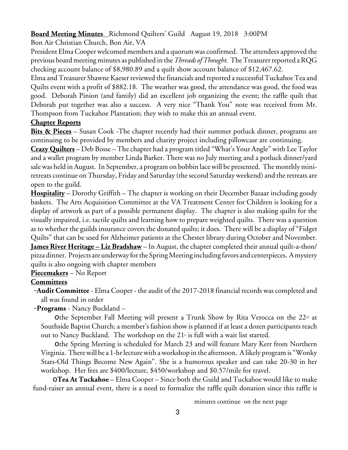# **Board Meeting Minutes** Richmond Quilters' Guild August 19, 2018 3:00PM

Bon Air Christian Church, Bon Air, VA

President ElmaCooper welcomed members and a quorum was confirmed. The attendees approved the previous boardmeetingminutes as published in the*Threads ofThought.* TheTreasurerreported aRQG checking account balance of \$8,980.89 and a quilt show account balance of \$12,467.62.

Elma and Treasurer Shawne Kaeser reviewed the financials and reported a successful Tuckahoe Tea and Quilts event with a profit of \$882.18. The weather was good, the attendance was good, the food was good. Deborah Pinion (and family) did an excellent job organizing the event; the raffle quilt that Deborah put together was also a success. A very nice "Thank You" note was received from Mr. Thompson from Tuckahoe Plantation; they wish to make this an annual event.

#### **Chapter Reports**

**Bits & Pieces** – Susan Cook -The chapter recently had their summer potluck dinner, programs are continuing to be provided by members and charity project including pillowcase are continuing.

**Crazy Quilters** – Deb Bosse – The chapter had a program titled "What's Your Angle" with Lee Taylor and a wallet program by member Linda Barker. There was no July meeting and a potluck dinner/yard sale was held in August. In September, a program on bobbin lace will be presented. The monthly miniretreats continue on Thursday, Friday and Saturday (the second Saturday weekend) and the retreats are open to the guild.

**Hospitality** – Dorothy Griffith – The chapter is working on their December Bazaar including goody baskets. The Arts Acquisition Committee at the VA Treatment Center for Children is looking for a display of artwork as part of a possible permanent display. The chapter is also making quilts for the visually impaired, i.e. tactile quilts and learning how to prepare weighted quilts. There was a question as to whether the guilds insurance covers the donated quilts; it does. There will be a display of "Fidget Quilts" that can be used for Alzheimer patients at the Chester library during October and November. **James River Heritage – Liz Bradshaw** – In August, the chapter completed their annual quilt-a-thon/ pizza dinner. Projects are underway forthe SpringMeeting including favors and centerpieces. Amystery quilts is also ongoing with chapter members

## **Piecemakers** – No Report

## **Committees**

-**Audit Committee** - Elma Cooper - the audit of the 2017-2018 financial records was completed and all was found in order

-**Programs** - Nancy Buckland –

Othe September Fall Meeting will present a Trunk Show by Rita Verocca on the 22<sup>nd</sup> at Southside Baptist Church; a member's fashion show is planned if at least a dozen participants reach out to Nancy Buckland. The workshop on the  $21<sup>*</sup>$  is full with a wait list started.

othe Spring Meeting is scheduled for March 23 and will feature Mary Kerr from Northern Virginia. Therewill be a 1-hrlecturewith aworkshop in the afternoon. Alikely programis "Wonky Stars-Old Things Become New Again". She is a humorous speaker and can take 20-30 in her workshop. Her fees are \$400/lecture, \$450/workshop and \$0.57/mile for travel.

o**Tea At Tuckahoe** – Elma Cooper – Since both the Guild and Tuckahoe would like to make fund-raiser an annual event, there is a need to formalize the raffle quilt donation since this raffle is

minutes continue on the next page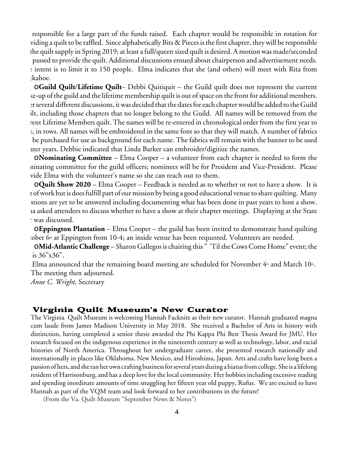responsible for a large part of the funds raised. Each chapter would be responsible in rotation for viding a quilt to be raffled. Since alphabetically Bits & Pieces is the first chapter, they will be responsible the quilt supply in Spring 2019; at least a full/queen sized quilt is desired. A motion was made/seconded passed to provide the quilt. Additional discussions ensued about chairperson and advertisement needs. the intent is to limit it to 150 people. Elma indicates that she (and others) will meet with Rita from :kahoe.

o**Guild Quilt**/**Lifetime Quilt**– Debbi Quitiquit – the Guild quilt does not represent the current se-up of the guild and the lifetime membership quilt is out of space on the front for additional members. er several different discussions, it was decided that the dates for each chapter would be added to the Guild ilt, including those chapters that no longer belong to the Guild. All names will be removed from the rent Lifetime Members quilt. The names will be re-entered in chronological order from the first year to e, in rows. All names will be embroidered in the same font so that they will match. A number of fabrics be purchased for use as background for each name. The fabrics will remain with the banner to be used ater years. Debbie indicated that Linda Barker can embroider/digitize the names.

o**Nominating Committee** – Elma Cooper – a volunteer from each chapter is needed to form the ninating committee for the guild officers; nominees will be for President and Vice-President. Please vide Elma with the volunteer's name so she can reach out to them.

o**Quilt Show 2020** – Elma Cooper – Feedback is needed as to whether or not to have a show. It is t of work but is does fulfill part of our mission by being a good educational venue to share quilting. Many stions are yet to be answered including documenting what has been done in past years to host a show. ia asked attendees to discuss whether to have a show at their chapter meetings. Displaying at the State was discussed.

o**Eppington Plantation** – Elma Cooper – the guild has been invited to demonstrate hand quilting  $\omega$  tober 6<sup>th</sup> at Eppington from 10-4; an inside venue has been requested. Volunteers are needed.

o**Mid-AtlanticChallenge** – Sharon Gallegos is chairing this " 'Til theCowsCome Home" event; the is 36"x36".

Elma announced that the remaining board meeting are scheduled for November  $4<sup>th</sup>$  and March 10<sup>th</sup>. The meeting then adjourned.

*Anne C. Wright,* Secretary

#### Virginia Quilt Museum's New Curator

The Virginia Quilt Museum is welcoming Hannah Facknitz as their new curator. Hannah graduated magna cum laude from James Madison University in May 2018. She received a Bachelor of Arts in history with distinction, having completed a senior thesis awarded the Phi Kappa Phi Best Thesis Award for JMU. Her research focused on the indigenous experience in the nineteenth century as well as technology, labor, and racial histories of North America. Throughout her undergraduate career, she presented research nationally and internationally in places like Oklahoma, New Mexico, and Hiroshima, Japan. Arts and crafts have long been a passionof hers, and sheranher owncrafting businessforseveral years during a hiatusfromcollege. Sheis a lifelong resident of Harrisonburg, and has a deep love for the local community. Her hobbies including excessive reading and spending inordinate amounts of time snuggling her fifteen year old puppy, Rufus. We are excited to have Hannah as part of the VQM team and look forward to her contributions in the future!

(From the Va. Quilt Museum "September News & Notes")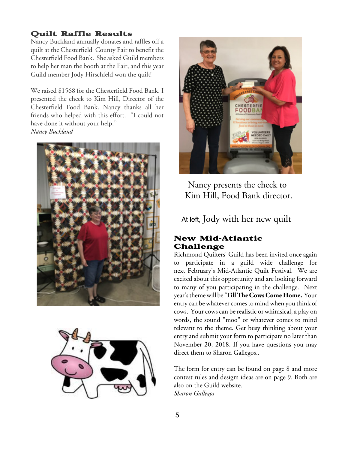# Quilt Raffle Results

Nancy Buckland annually donates and raffles off a quilt at the Chesterfield County Fair to benefit the Chesterfield Food Bank. She asked Guild members to help her man the booth at the Fair, and this year Guild member Jody Hirschfeld won the quilt!

We raised \$1568 for the Chesterfield Food Bank. I presented the check to Kim Hill, Director of the Chesterfield Food Bank. Nancy thanks all her friends who helped with this effort. "I could not have done it without your help." *Nancy Buckland*







Nancy presents the check to Kim Hill, Food Bank director.

At left, Jody with her new quilt

## New Mid-Atlantic Challenge

Richmond Quilters' Guild has been invited once again to participate in a guild wide challenge for next February's Mid-Atlantic Quilt Festival. We are excited about this opportunity and are looking forward to many of you participating in the challenge. Next year'sthemewill be**'TillTheCowsCome Home.** Your entry can be whatever comes to mind when you think of cows. Your cows can be realistic or whimsical, a play on words, the sound "moo" or whatever comes to mind relevant to the theme. Get busy thinking about your entry and submit your form to participate no later than November 20, 2018. If you have questions you may direct them to Sharon Gallegos..

The form for entry can be found on page 8 and more contest rules and desigm ideas are on page 9. Both are also on the Guild website. *Sharon Gallegos*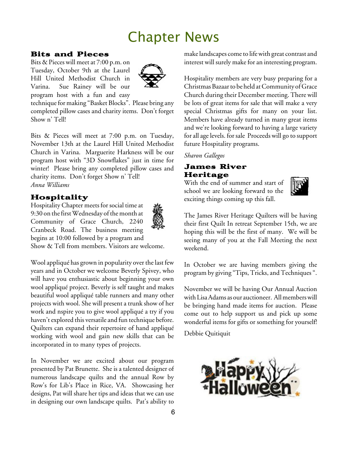# Chapter News

#### Bits and Pieces

Bits & Pieces will meet at 7:00 p.m. on Tuesday, October 9th at the Laurel Hill United Methodist Church in Varina. Sue Rainey will be our program host with a fun and easy



technique for making "Basket Blocks". Please bring any completed pillow cases and charity items. Don't forget Show n' Tell!

Bits & Pieces will meet at 7:00 p.m. on Tuesday, November 13th at the Laurel Hill United Methodist Church in Varina. Marguerite Harkness will be our program host with "3D Snowflakes" just in time for winter! Please bring any completed pillow cases and charity items. Don't forget Show n' Tell! *Anna Williams*

# Hospitality

Hospitality Chapter meets for social time at 9:30 on the first Wednesday of the month at Community of Grace Church, 2240 Cranbeck Road. The business meeting begins at 10:00 followed by a program and Show & Tell from members. Visitors are welcome.



Wool appliqué has grown in popularity over thelast few years and in October we welcome Beverly Spivey, who will have you enthusiastic about beginning your own wool appliqué project. Beverly is self taught and makes beautiful wool appliqué table runners and many other projects with wool. She will present a trunk show of her work and nspire you to give wool appliqué a try if you haven't explored this versatile and fun technique before. Quilters can expand their repertoire of hand appliqué working with wool and gain new skills that can be incorporated in to many types of projects.

In November we are excited about our program presented by Pat Brunette. She is a talented designer of numerous landscape quilts and the annual Row by Row's for Lib's Place in Rice, VA. Showcasing her designs, Pat will share her tips and ideas that we can use in designing our own landscape quilts. Pat's ability to

makelandscapes cometo lifewith great contrast and interest will surely make for an interesting program.

Hospitality members are very busy preparing for a Christmas Bazaar to be held at Community of Grace Church during their December meeting. There will be lots of great items for sale that will make a very special Christmas gifts for many on your list. Members have already turned in many great items and we're looking forward to having a large variety for all age levels. for sale Proceeds will go to support future Hospitality programs.

#### *Sharon Gallegos*

# James River Heritage

With the end of summer and start of school we are looking forward to the exciting things coming up this fall.



The James River Heritage Quilters will be having their first Quilt In retreat September 15th, we are hoping this will be the first of many. We will be seeing many of you at the Fall Meeting the next weekend.

In October we are having members giving the program by giving "Tips, Tricks, and Techniques ".

November we will be having Our Annual Auction with Lisa Adams as our auctioneer. All members will be bringing hand made items for auction. Please come out to help support us and pick up some wonderful items for gifts or something for yourself!

Debbie Quitiquit

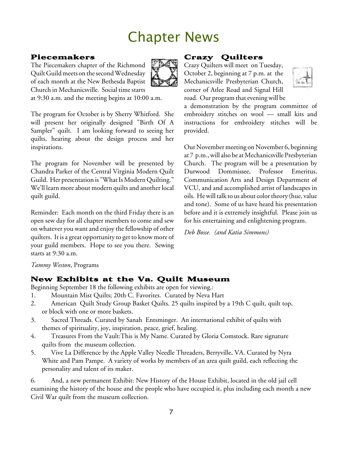# Chapter News

# Piecemakers

The Piecemakers chapter of the Richmond Quilt Guild meets on the second Wednesday of each month at the New Bethesda Baptist Church in Mechanicsville. Social timestarts



at 9:30 a.m. and the meeting begins at 10:00 a.m.

The program for October is by Sherry Whitford. She will present her originally designed "Birth Of A Sampler" quilt. I am looking forward to seeing her quilts, hearing about the design process and her inspirations.

The program for November will be presented by Chandra Parker of the Central Virginia Modern Quilt Guild. Her presentation is "What Is Modern Quilting." We'll learn more about modern quilts and another local quilt guild.

Reminder: Each month on the third Friday there is an open sew day for all chapter members to come and sew on whatever you want and enjoy the fellowship of other quilters. It is a great opportunity to get to know more of your guild members. Hope to see you there. Sewing starts at 9:30 a.m.

# Crazy Quilters

Crazy Quilters will meet on Tuesday, October 2, beginning at 7 p.m. at the Mechanicsville Presbyterian Church, corner of Atlee Road and Signal Hill road. Our program that evening will be



a demonstration by the program committee of embroidery stitches on wool — small kits and instructions for embroidery stitches will be provided.

Our November meeting on November 6, beginning at 7 p.m., will also be at Mechanicsville Presbyterian Church. The program will be a presentation by Durwood Dommissee, Professor Emeritus, Communication Arts and Design Department of VCU, and and accomplished artist of landscapes in oils. He will talk to us about color theory (hue, value and tone). Some of us have heard his presentation before and it is extremely insightful. Please join us for his entertaining and enlightening program.

*Deb Bosse. (and Katia Simmons)*

#### *Tammy Weston*, Programs

## New Exhibits at the Va. Quilt Museum

Beginning September 18 the following exhibits are open for viewing.:

- 1. Mountain Mist Quilts; 20th C. Favorites. Curated by Neva Hart
- 2. American Quilt Study Group Basket Quilts. 25 quilts inspired by a 19th C quilt, quilt top, or block with one or more baskets.
- 3. Sacred Threads. Curated by Sanah Entsminger. An international exhibit of quilts with themes of spirituality, joy, inspiration, peace, grief, healing.
- 4. Treasures From the Vault:This is My Name. Curated by Gloria Comstock. Rare signature quilts from the museum collection.
- 5. Vive La Difference by the Apple Valley Needle Threaders, Berryville, VA. Curated by Nyra White and Pam Pampe. A variety of works by members of an area quilt guild, each reflecting the personality and talent of its maker.

6. And, a new permanent Exhibit: New History of the House Exhibit, located in the old jail cell examining the history of the house and the people who have occupied it, plus including each month a new Civil War quilt from the museum collection.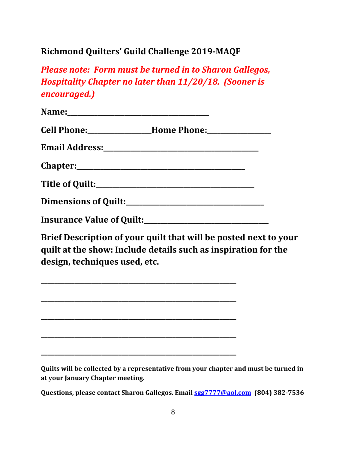# **Richmond Quilters' Guild Challenge 2019-MAQF**

*Please note: Form must be turned in to Sharon Gallegos, Hospitality Chapter no later than 11/20/18. (Sooner is encouraged.)*

| Brief Description of your quilt that will be posted next to your<br>$\alpha$ . The condition of $\alpha$ is a standard dependence of the contract contract $\alpha$ and $\alpha$ |  |
|----------------------------------------------------------------------------------------------------------------------------------------------------------------------------------|--|

quilt at the show: Include details such as inspiration for the design, techniques used, etc.

**\_\_\_\_\_\_\_\_\_\_\_\_\_\_\_\_\_\_\_\_\_\_\_\_\_\_\_\_\_\_\_\_\_\_\_\_\_\_\_\_\_\_\_\_\_\_\_\_\_\_\_\_\_\_\_\_\_\_**

**\_\_\_\_\_\_\_\_\_\_\_\_\_\_\_\_\_\_\_\_\_\_\_\_\_\_\_\_\_\_\_\_\_\_\_\_\_\_\_\_\_\_\_\_\_\_\_\_\_\_\_\_\_\_\_\_\_\_**

**\_\_\_\_\_\_\_\_\_\_\_\_\_\_\_\_\_\_\_\_\_\_\_\_\_\_\_\_\_\_\_\_\_\_\_\_\_\_\_\_\_\_\_\_\_\_\_\_\_\_\_\_\_\_\_\_\_\_**

**\_\_\_\_\_\_\_\_\_\_\_\_\_\_\_\_\_\_\_\_\_\_\_\_\_\_\_\_\_\_\_\_\_\_\_\_\_\_\_\_\_\_\_\_\_\_\_\_\_\_\_\_\_\_\_\_\_\_**

**\_\_\_\_\_\_\_\_\_\_\_\_\_\_\_\_\_\_\_\_\_\_\_\_\_\_\_\_\_\_\_\_\_\_\_\_\_\_\_\_\_\_\_\_\_\_\_\_\_\_\_\_\_\_\_\_\_\_**

Quilts will be collected by a representative from your chapter and must be turned in at your January Chapter meeting.

Questions, please contact Sharon Gallegos. Email **sgg7777@aol.com** (804) 382-7536